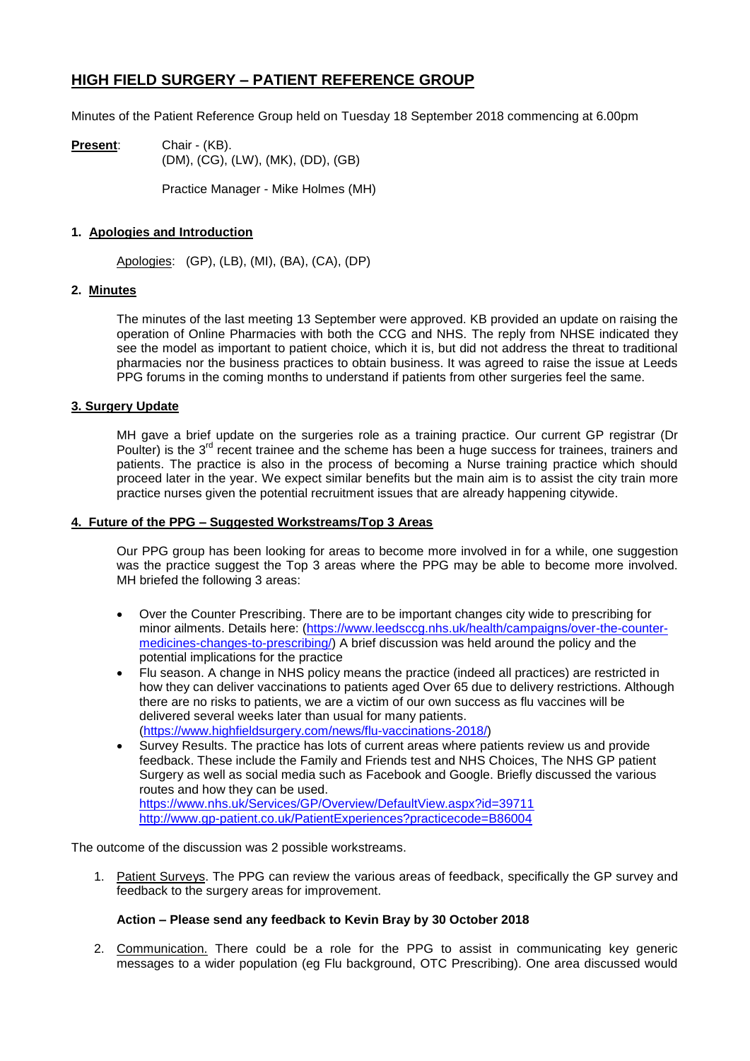# **HIGH FIELD SURGERY – PATIENT REFERENCE GROUP**

Minutes of the Patient Reference Group held on Tuesday 18 September 2018 commencing at 6.00pm

**Present**: Chair - (KB). (DM), (CG), (LW), (MK), (DD), (GB)

Practice Manager - Mike Holmes (MH)

# **1. Apologies and Introduction**

Apologies: (GP), (LB), (MI), (BA), (CA), (DP)

## **2. Minutes**

The minutes of the last meeting 13 September were approved. KB provided an update on raising the operation of Online Pharmacies with both the CCG and NHS. The reply from NHSE indicated they see the model as important to patient choice, which it is, but did not address the threat to traditional pharmacies nor the business practices to obtain business. It was agreed to raise the issue at Leeds PPG forums in the coming months to understand if patients from other surgeries feel the same.

## **3. Surgery Update**

MH gave a brief update on the surgeries role as a training practice. Our current GP registrar (Dr Poulter) is the  $3<sup>rd</sup>$  recent trainee and the scheme has been a huge success for trainees, trainers and patients. The practice is also in the process of becoming a Nurse training practice which should proceed later in the year. We expect similar benefits but the main aim is to assist the city train more practice nurses given the potential recruitment issues that are already happening citywide.

#### **4. Future of the PPG – Suggested Workstreams/Top 3 Areas**

Our PPG group has been looking for areas to become more involved in for a while, one suggestion was the practice suggest the Top 3 areas where the PPG may be able to become more involved. MH briefed the following 3 areas:

- Over the Counter Prescribing. There are to be important changes city wide to prescribing for minor ailments. Details here: [\(https://www.leedsccg.nhs.uk/health/campaigns/over-the-counter](https://www.leedsccg.nhs.uk/health/campaigns/over-the-counter-medicines-changes-to-prescribing/)[medicines-changes-to-prescribing/\)](https://www.leedsccg.nhs.uk/health/campaigns/over-the-counter-medicines-changes-to-prescribing/) A brief discussion was held around the policy and the potential implications for the practice
- Flu season. A change in NHS policy means the practice (indeed all practices) are restricted in how they can deliver vaccinations to patients aged Over 65 due to delivery restrictions. Although there are no risks to patients, we are a victim of our own success as flu vaccines will be delivered several weeks later than usual for many patients. [\(https://www.highfieldsurgery.com/news/flu-vaccinations-2018/\)](https://www.highfieldsurgery.com/news/flu-vaccinations-2018/)
- Survey Results. The practice has lots of current areas where patients review us and provide feedback. These include the Family and Friends test and NHS Choices, The NHS GP patient Surgery as well as social media such as Facebook and Google. Briefly discussed the various routes and how they can be used. <https://www.nhs.uk/Services/GP/Overview/DefaultView.aspx?id=39711> <http://www.gp-patient.co.uk/PatientExperiences?practicecode=B86004>

The outcome of the discussion was 2 possible workstreams.

1. Patient Surveys. The PPG can review the various areas of feedback, specifically the GP survey and feedback to the surgery areas for improvement.

## **Action – Please send any feedback to Kevin Bray by 30 October 2018**

2. Communication. There could be a role for the PPG to assist in communicating key generic messages to a wider population (eg Flu background, OTC Prescribing). One area discussed would